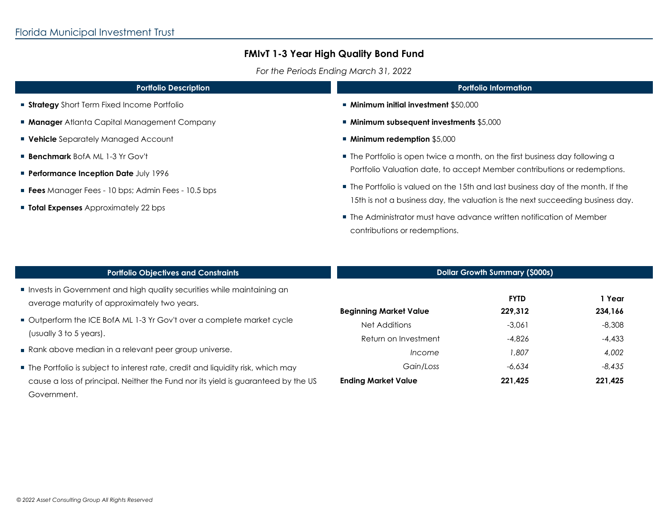I

# **FMIvT 1-3 Year High Quality Bond Fund**

*For the Periods Ending March 31, 2022*

| <b>Portfolio Description</b>                             | <b>Portfolio Information</b>                                                                                                                                                                                                                                                |  |  |
|----------------------------------------------------------|-----------------------------------------------------------------------------------------------------------------------------------------------------------------------------------------------------------------------------------------------------------------------------|--|--|
| <b>Strategy</b> Short Term Fixed Income Portfolio        | ■ Minimum initial investment \$50,000                                                                                                                                                                                                                                       |  |  |
| <b>Manager</b> Atlanta Capital Management Company        | ■ Minimum subsequent investments \$5,000                                                                                                                                                                                                                                    |  |  |
| <b>• Vehicle</b> Separately Managed Account              | ■ Minimum redemption \$5,000                                                                                                                                                                                                                                                |  |  |
| <b>Benchmark</b> BofA ML 1-3 Yr Gov't                    | ■ The Portfolio is open twice a month, on the first business day following a<br>Portfolio Valuation date, to accept Member contributions or redemptions.                                                                                                                    |  |  |
| Performance Inception Date July 1996                     |                                                                                                                                                                                                                                                                             |  |  |
| <b>Fees</b> Manager Fees - 10 bps; Admin Fees - 10.5 bps | • The Portfolio is valued on the 15th and last business day of the month. If the<br>15th is not a business day, the valuation is the next succeeding business day.<br>■ The Administrator must have advance written notification of Member<br>contributions or redemptions. |  |  |
| <b>Total Expenses</b> Approximately 22 bps               |                                                                                                                                                                                                                                                                             |  |  |
|                                                          |                                                                                                                                                                                                                                                                             |  |  |

| <b>Portfolio Objectives and Constraints</b>                                                                                                                                           | <b>Dollar Growth Summary (\$000s)</b>   |                        |                   |
|---------------------------------------------------------------------------------------------------------------------------------------------------------------------------------------|-----------------------------------------|------------------------|-------------------|
| Invests in Government and high quality securities while maintaining an<br>average maturity of approximately two years.                                                                | <b>Beginning Market Value</b>           | <b>FYTD</b><br>229.312 | 1 Year<br>234,166 |
| ■ Outperform the ICE BofA ML 1-3 Yr Gov't over a complete market cycle<br>(usually 3 to 5 years).                                                                                     | Net Additions<br>Return on Investment   | $-3,061$<br>$-4.826$   | $-8,308$          |
| Rank above median in a relevant peer group universe.                                                                                                                                  | <i>Income</i>                           | 1.807                  | $-4,433$<br>4,002 |
| ■ The Portfolio is subject to interest rate, credit and liquidity risk, which may<br>cause a loss of principal. Neither the Fund nor its yield is guaranteed by the US<br>Government. | Gain/Loss<br><b>Ending Market Value</b> | $-6,634$<br>221,425    | -8,435<br>221,425 |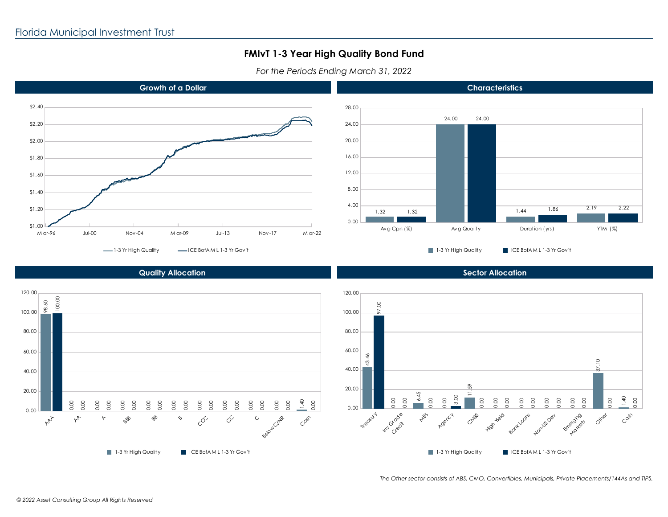### **FMIvT 1-3 Year High Quality Bond Fund**

*For the Periods Ending March 31, 2022*



#### **Quality Allocation**



*The Other sector consists of ABS, CMO, Convertibles, Municipals, Private Placements/144As and TIPS.*

**Sector Allocation**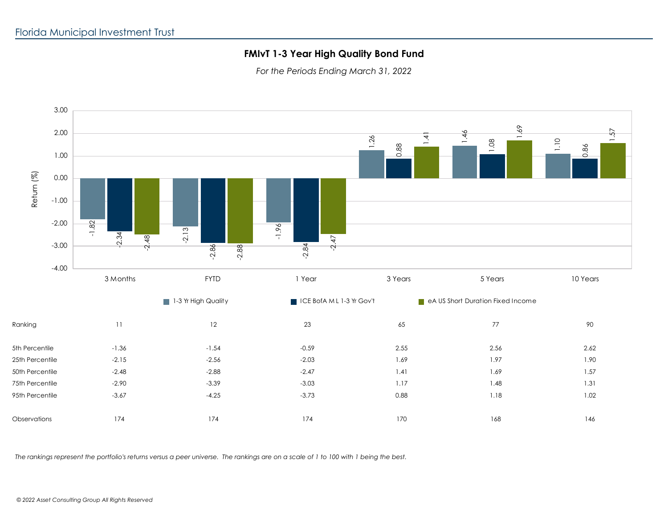# **FMIvT 1-3 Year High Quality Bond Fund**

*For the Periods Ending March 31, 2022*



*The rankings represent the portfolio's returns versus a peer universe. The rankings are on a scale of 1 to 100 with 1 being the best.*